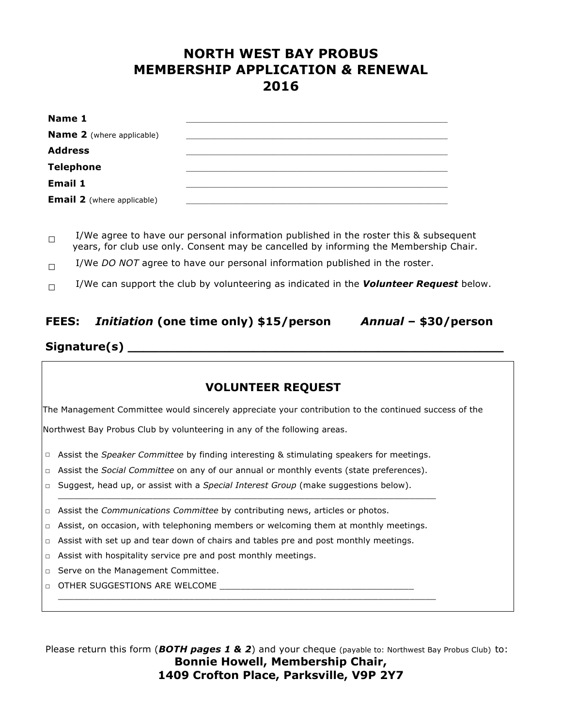## **NORTH WEST BAY PROBUS MEMBERSHIP APPLICATION** *&* **RENEWAL 2016**

| Name 1                            |  |
|-----------------------------------|--|
| <b>Name 2</b> (where applicable)  |  |
| <b>Address</b>                    |  |
| <b>Telephone</b>                  |  |
| <b>Email 1</b>                    |  |
| <b>Email 2</b> (where applicable) |  |

 $\Box$  I/We agree to have our personal information published in the roster this & subsequent years, for club use only. Consent may be cancelled by informing the Membership Chair.

- $\Box$  I/We *DO NOT* agree to have our personal information published in the roster.
- $\Box$  I/We can support the club by volunteering as indicated in the **Volunteer Request** below.

### **FEES:** *Initiation* **(one time only) \$15/person** *Annual* **– \$30/person**

# **Signature(s) \_\_\_\_\_\_\_\_\_\_\_\_\_\_\_\_\_\_\_\_\_\_\_\_\_\_\_\_\_\_\_\_\_\_\_\_\_\_\_\_\_\_\_\_\_\_\_\_**

#### **VOLUNTEER REQUEST**

The Management Committee would sincerely appreciate your contribution to the continued success of the

Northwest Bay Probus Club by volunteering in any of the following areas.

- □ Assist the *Speaker Committee* by finding interesting & stimulating speakers for meetings.
- □ Assist the *Social Committee* on any of our annual or monthly events (state preferences).

\_\_\_\_\_\_\_\_\_\_\_\_\_\_\_\_\_\_\_\_\_\_\_\_\_\_\_\_\_\_\_\_\_\_\_\_\_\_\_\_\_\_\_\_\_\_\_\_\_\_\_\_\_\_\_\_\_\_\_\_\_\_\_\_\_\_\_\_\_\_\_\_

\_\_\_\_\_\_\_\_\_\_\_\_\_\_\_\_\_\_\_\_\_\_\_\_\_\_\_\_\_\_\_\_\_\_\_\_\_\_\_\_\_\_\_\_\_\_\_\_\_\_\_\_\_\_\_\_\_\_\_\_\_\_\_\_\_\_\_\_\_\_\_\_

- □ Suggest, head up, or assist with a *Special Interest Group* (make suggestions below).
- □ Assist the *Communications Committee* by contributing news, articles or photos.
- $\Box$  Assist, on occasion, with telephoning members or welcoming them at monthly meetings.
- $\Box$  Assist with set up and tear down of chairs and tables pre and post monthly meetings.
- □ Assist with hospitality service pre and post monthly meetings.
- □ Serve on the Management Committee.
- $\Box$   $\Box$  THER SUGGESTIONS ARE WELCOME

Please return this form (*BOTH pages 1 & 2*) and your cheque (payable to: Northwest Bay Probus Club) to: **Bonnie Howell, Membership Chair, 1409 Crofton Place, Parksville, V9P 2Y7**